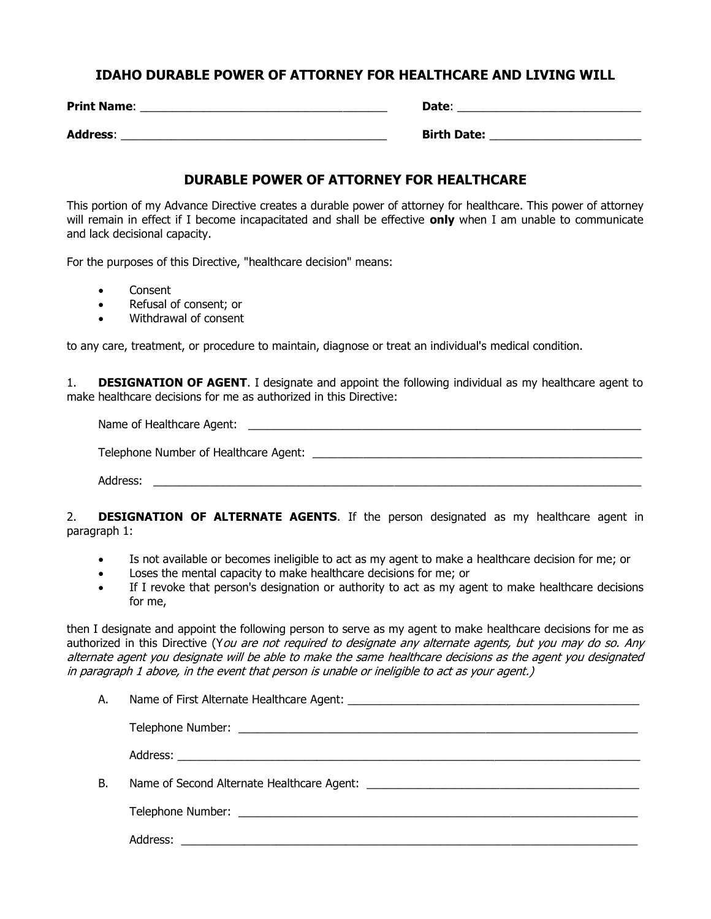## **IDAHO DURABLE POWER OF ATTORNEY FOR HEALTHCARE AND LIVING WILL**

| <b>Print Name:</b> | Date:              |
|--------------------|--------------------|
| <b>Address:</b>    | <b>Birth Date:</b> |

## **DURABLE POWER OF ATTORNEY FOR HEALTHCARE**

This portion of my Advance Directive creates a durable power of attorney for healthcare. This power of attorney will remain in effect if I become incapacitated and shall be effective **only** when I am unable to communicate and lack decisional capacity.

For the purposes of this Directive, "healthcare decision" means:

- Consent
- Refusal of consent; or
- Withdrawal of consent

to any care, treatment, or procedure to maintain, diagnose or treat an individual's medical condition.

1. **DESIGNATION OF AGENT**. I designate and appoint the following individual as my healthcare agent to make healthcare decisions for me as authorized in this Directive:

Name of Healthcare Agent: \_\_\_\_\_\_\_\_\_\_\_\_\_\_\_\_\_\_\_\_\_\_\_\_\_\_\_\_\_\_\_\_\_\_\_\_\_\_\_\_\_\_\_\_\_\_\_\_\_\_\_\_\_\_\_\_\_\_\_\_\_\_

Telephone Number of Healthcare Agent:  $\blacksquare$ 

Address: \_\_\_\_\_\_\_\_\_\_\_\_\_\_\_\_\_\_\_\_\_\_\_\_\_\_\_\_\_\_\_\_\_\_\_\_\_\_\_\_\_\_\_\_\_\_\_\_\_\_\_\_\_\_\_\_\_\_\_\_\_\_\_\_\_\_\_\_\_\_\_\_\_\_\_\_\_

2. **DESIGNATION OF ALTERNATE AGENTS**. If the person designated as my healthcare agent in paragraph 1:

- Is not available or becomes ineligible to act as my agent to make a healthcare decision for me; or
- Loses the mental capacity to make healthcare decisions for me; or
- If I revoke that person's designation or authority to act as my agent to make healthcare decisions for me,

then I designate and appoint the following person to serve as my agent to make healthcare decisions for me as authorized in this Directive (You are not required to designate any alternate agents, but you may do so. Any alternate agent you designate will be able to make the same healthcare decisions as the agent you designated in paragraph 1 above, in the event that person is unable or ineligible to act as your agent.)

| А. |                                                                                       |
|----|---------------------------------------------------------------------------------------|
|    |                                                                                       |
|    |                                                                                       |
| В. | Name of Second Alternate Healthcare Agent: Name of Second Alternate Healthcare Agent: |
|    |                                                                                       |
|    | Address:                                                                              |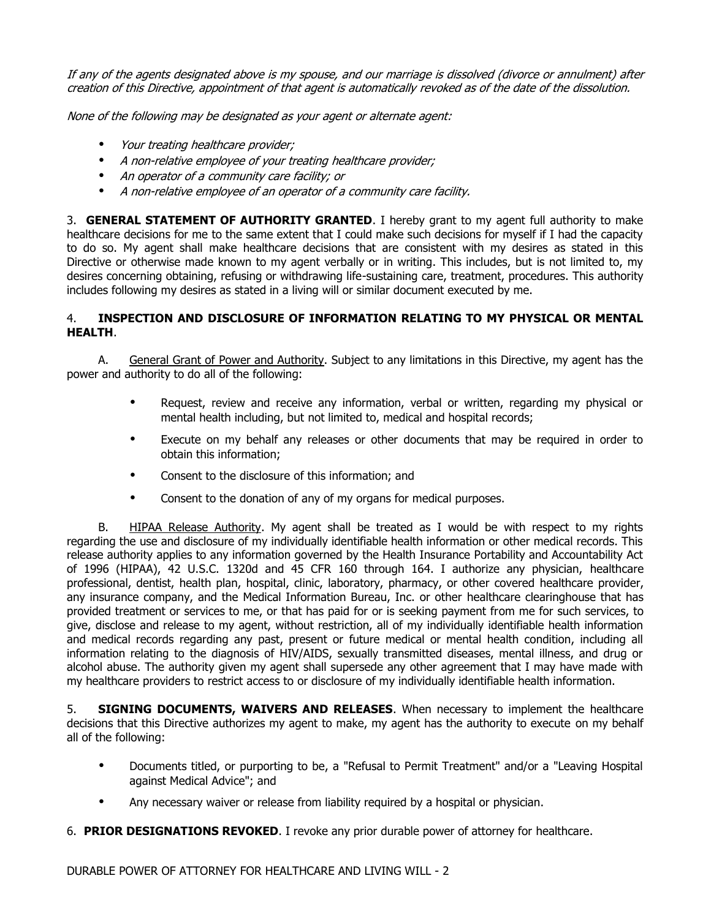If any of the agents designated above is my spouse, and our marriage is dissolved (divorce or annulment) after creation of this Directive, appointment of that agent is automatically revoked as of the date of the dissolution.

None of the following may be designated as your agent or alternate agent:

- Your treating healthcare provider;
- A non-relative employee of your treating healthcare provider;
- An operator of a community care facility; or
- A non-relative employee of an operator of a community care facility.

3. **GENERAL STATEMENT OF AUTHORITY GRANTED**. I hereby grant to my agent full authority to make healthcare decisions for me to the same extent that I could make such decisions for myself if I had the capacity to do so. My agent shall make healthcare decisions that are consistent with my desires as stated in this Directive or otherwise made known to my agent verbally or in writing. This includes, but is not limited to, my desires concerning obtaining, refusing or withdrawing life-sustaining care, treatment, procedures. This authority includes following my desires as stated in a living will or similar document executed by me.

### 4. **INSPECTION AND DISCLOSURE OF INFORMATION RELATING TO MY PHYSICAL OR MENTAL HEALTH**.

A. General Grant of Power and Authority. Subject to any limitations in this Directive, my agent has the power and authority to do all of the following:

- Request, review and receive any information, verbal or written, regarding my physical or mental health including, but not limited to, medical and hospital records;
- Execute on my behalf any releases or other documents that may be required in order to obtain this information;
- Consent to the disclosure of this information; and
- Consent to the donation of any of my organs for medical purposes.

B. HIPAA Release Authority. My agent shall be treated as I would be with respect to my rights regarding the use and disclosure of my individually identifiable health information or other medical records. This release authority applies to any information governed by the Health Insurance Portability and Accountability Act of 1996 (HIPAA), 42 U.S.C. 1320d and 45 CFR 160 through 164. I authorize any physician, healthcare professional, dentist, health plan, hospital, clinic, laboratory, pharmacy, or other covered healthcare provider, any insurance company, and the Medical Information Bureau, Inc. or other healthcare clearinghouse that has provided treatment or services to me, or that has paid for or is seeking payment from me for such services, to give, disclose and release to my agent, without restriction, all of my individually identifiable health information and medical records regarding any past, present or future medical or mental health condition, including all information relating to the diagnosis of HIV/AIDS, sexually transmitted diseases, mental illness, and drug or alcohol abuse. The authority given my agent shall supersede any other agreement that I may have made with my healthcare providers to restrict access to or disclosure of my individually identifiable health information.

5. **SIGNING DOCUMENTS, WAIVERS AND RELEASES**. When necessary to implement the healthcare decisions that this Directive authorizes my agent to make, my agent has the authority to execute on my behalf all of the following:

- Documents titled, or purporting to be, a "Refusal to Permit Treatment" and/or a "Leaving Hospital against Medical Advice"; and
- Any necessary waiver or release from liability required by a hospital or physician.
- 6. **PRIOR DESIGNATIONS REVOKED**. I revoke any prior durable power of attorney for healthcare.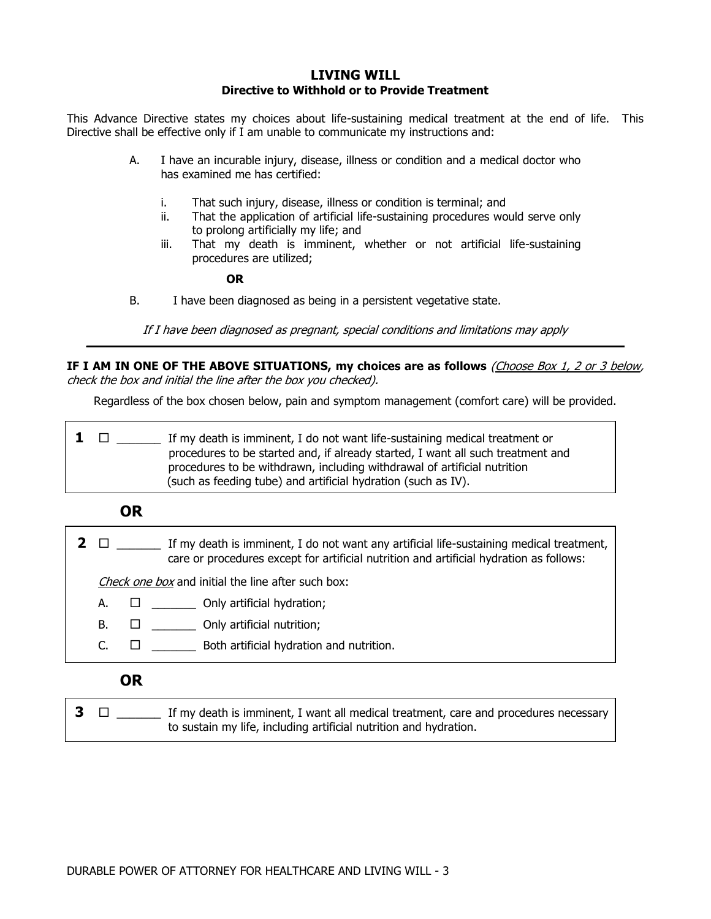#### **LIVING WILL Directive to Withhold or to Provide Treatment**

This Advance Directive states my choices about life-sustaining medical treatment at the end of life. This Directive shall be effective only if I am unable to communicate my instructions and:

- A. I have an incurable injury, disease, illness or condition and a medical doctor who has examined me has certified:
	- i. That such injury, disease, illness or condition is terminal; and
	- ii. That the application of artificial life-sustaining procedures would serve only to prolong artificially my life; and
	- iii. That my death is imminent, whether or not artificial life-sustaining procedures are utilized;

**OR**

B. I have been diagnosed as being in a persistent vegetative state.

If I have been diagnosed as pregnant, special conditions and limitations may apply **\_\_\_\_\_\_\_\_\_\_\_\_\_\_\_\_\_\_\_\_\_\_\_\_\_\_\_\_\_\_\_\_\_\_\_\_\_\_\_\_\_\_\_\_\_\_\_\_\_\_\_\_\_\_\_\_\_\_\_\_\_\_\_\_\_\_\_\_\_\_\_\_\_\_\_\_\_\_\_\_\_\_\_\_\_\_\_\_\_\_\_**

**IF I AM IN ONE OF THE ABOVE SITUATIONS, my choices are as follows** (Choose Box 1, 2 or 3 below, check the box and initial the line after the box you checked).

Regardless of the box chosen below, pain and symptom management (comfort care) will be provided.

 $1 \quad \Box \quad \Box$  If my death is imminent, I do not want life-sustaining medical treatment or procedures to be started and, if already started, I want all such treatment and procedures to be withdrawn, including withdrawal of artificial nutrition (such as feeding tube) and artificial hydration (such as IV).

 **OR**

**2**  $\Box$   $\Box$  If my death is imminent, I do not want any artificial life-sustaining medical treatment, care or procedures except for artificial nutrition and artificial hydration as follows:

Check one box and initial the line after such box:

- A.  $\Box$  \_\_\_\_\_\_\_\_\_\_ Only artificial hydration;
- $B.$   $\Box$  Only artificial nutrition;
- $C.$   $\square$  Both artificial hydration and nutrition.

# **OR**

**3**  $\Box$  If my death is imminent, I want all medical treatment, care and procedures necessary to sustain my life, including artificial nutrition and hydration.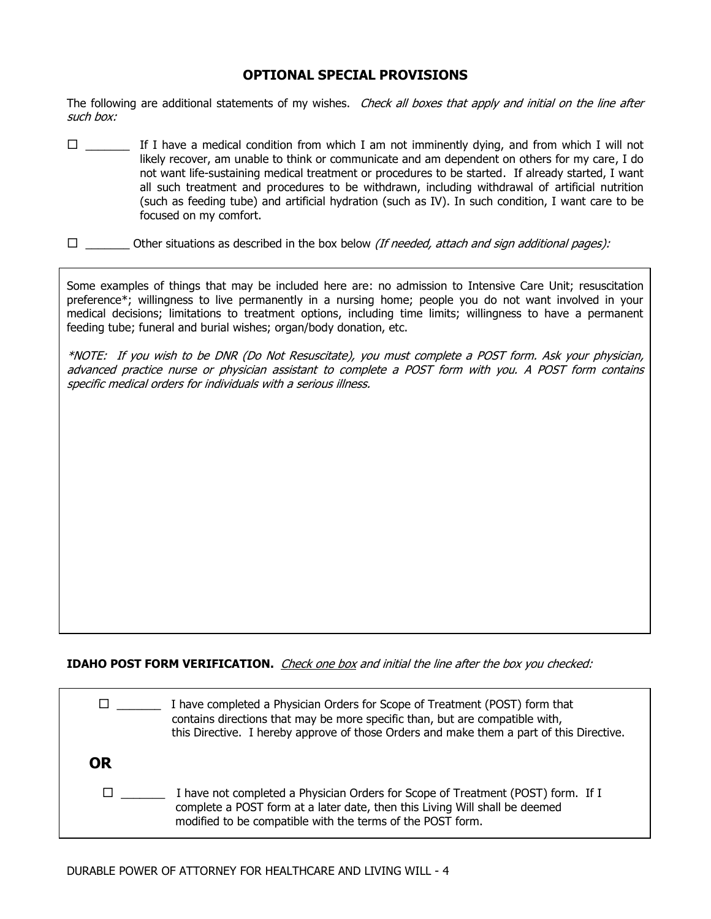## **OPTIONAL SPECIAL PROVISIONS**

The following are additional statements of my wishes. Check all boxes that apply and initial on the line after such box:

- $\square$  \_\_\_\_\_\_\_ If I have a medical condition from which I am not imminently dying, and from which I will not likely recover, am unable to think or communicate and am dependent on others for my care, I do not want life-sustaining medical treatment or procedures to be started. If already started, I want all such treatment and procedures to be withdrawn, including withdrawal of artificial nutrition (such as feeding tube) and artificial hydration (such as IV). In such condition, I want care to be focused on my comfort.
- $\square$  \_\_\_\_\_\_\_\_ Other situations as described in the box below (If needed, attach and sign additional pages):

Some examples of things that may be included here are: no admission to Intensive Care Unit; resuscitation preference\*; willingness to live permanently in a nursing home; people you do not want involved in your medical decisions; limitations to treatment options, including time limits; willingness to have a permanent feeding tube; funeral and burial wishes; organ/body donation, etc.

\*NOTE: If you wish to be DNR (Do Not Resuscitate), you must complete a POST form. Ask your physician, advanced practice nurse or physician assistant to complete a POST form with you. A POST form contains specific medical orders for individuals with a serious illness.

**IDAHO POST FORM VERIFICATION.** *Check one box and initial the line after the box you checked:* 

|           | I have completed a Physician Orders for Scope of Treatment (POST) form that<br>contains directions that may be more specific than, but are compatible with,<br>this Directive. I hereby approve of those Orders and make them a part of this Directive. |
|-----------|---------------------------------------------------------------------------------------------------------------------------------------------------------------------------------------------------------------------------------------------------------|
| <b>OR</b> |                                                                                                                                                                                                                                                         |
|           | I have not completed a Physician Orders for Scope of Treatment (POST) form. If I<br>complete a POST form at a later date, then this Living Will shall be deemed<br>modified to be compatible with the terms of the POST form.                           |